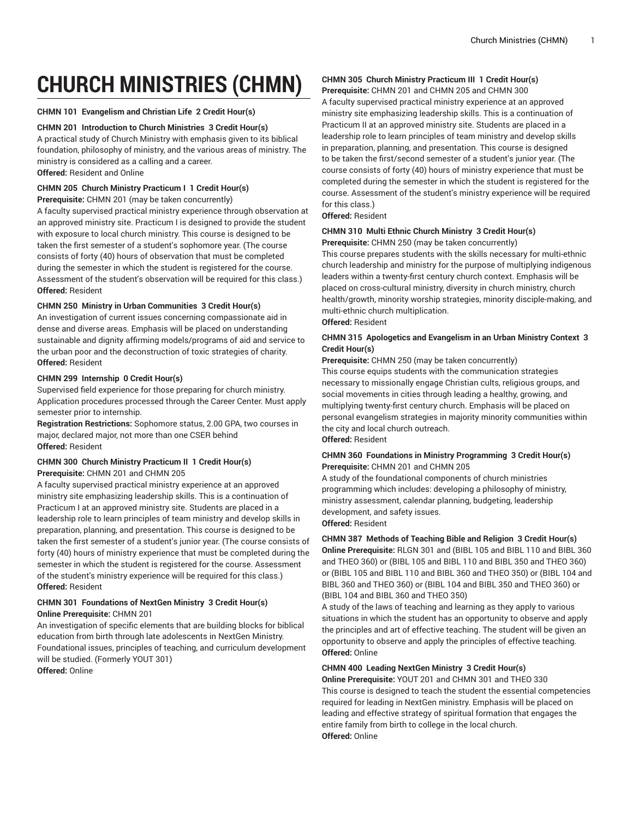# **CHURCH MINISTRIES (CHMN)**

#### **CHMN 101 Evangelism and Christian Life 2 Credit Hour(s)**

#### **CHMN 201 Introduction to Church Ministries 3 Credit Hour(s)**

A practical study of Church Ministry with emphasis given to its biblical foundation, philosophy of ministry, and the various areas of ministry. The ministry is considered as a calling and a career. **Offered:** Resident and Online

# **CHMN 205 Church Ministry Practicum I 1 Credit Hour(s)**

**Prerequisite:** CHMN 201 (may be taken concurrently)

A faculty supervised practical ministry experience through observation at an approved ministry site. Practicum I is designed to provide the student with exposure to local church ministry. This course is designed to be taken the first semester of a student's sophomore year. (The course consists of forty (40) hours of observation that must be completed during the semester in which the student is registered for the course. Assessment of the student's observation will be required for this class.) **Offered:** Resident

#### **CHMN 250 Ministry in Urban Communities 3 Credit Hour(s)**

An investigation of current issues concerning compassionate aid in dense and diverse areas. Emphasis will be placed on understanding sustainable and dignity affirming models/programs of aid and service to the urban poor and the deconstruction of toxic strategies of charity. **Offered:** Resident

#### **CHMN 299 Internship 0 Credit Hour(s)**

Supervised field experience for those preparing for church ministry. Application procedures processed through the Career Center. Must apply semester prior to internship.

**Registration Restrictions:** Sophomore status, 2.00 GPA, two courses in major, declared major, not more than one CSER behind **Offered:** Resident

## **CHMN 300 Church Ministry Practicum II 1 Credit Hour(s) Prerequisite:** CHMN 201 and CHMN 205

A faculty supervised practical ministry experience at an approved ministry site emphasizing leadership skills. This is a continuation of Practicum I at an approved ministry site. Students are placed in a leadership role to learn principles of team ministry and develop skills in preparation, planning, and presentation. This course is designed to be taken the first semester of a student's junior year. (The course consists of forty (40) hours of ministry experience that must be completed during the semester in which the student is registered for the course. Assessment of the student's ministry experience will be required for this class.) **Offered:** Resident

# **CHMN 301 Foundations of NextGen Ministry 3 Credit Hour(s) Online Prerequisite:** CHMN 201

An investigation of specific elements that are building blocks for biblical education from birth through late adolescents in NextGen Ministry. Foundational issues, principles of teaching, and curriculum development will be studied. (Formerly YOUT 301)

**Offered:** Online

# **CHMN 305 Church Ministry Practicum III 1 Credit Hour(s)**

**Prerequisite:** CHMN 201 and CHMN 205 and CHMN 300 A faculty supervised practical ministry experience at an approved ministry site emphasizing leadership skills. This is a continuation of Practicum II at an approved ministry site. Students are placed in a leadership role to learn principles of team ministry and develop skills in preparation, planning, and presentation. This course is designed to be taken the first/second semester of a student's junior year. (The course consists of forty (40) hours of ministry experience that must be completed during the semester in which the student is registered for the course. Assessment of the student's ministry experience will be required for this class.)

**Offered:** Resident

#### **CHMN 310 Multi Ethnic Church Ministry 3 Credit Hour(s)**

**Prerequisite:** CHMN 250 (may be taken concurrently) This course prepares students with the skills necessary for multi-ethnic church leadership and ministry for the purpose of multiplying indigenous leaders within a twenty-first century church context. Emphasis will be placed on cross-cultural ministry, diversity in church ministry, church health/growth, minority worship strategies, minority disciple-making, and multi-ethnic church multiplication.

**Offered:** Resident

#### **CHMN 315 Apologetics and Evangelism in an Urban Ministry Context 3 Credit Hour(s)**

**Prerequisite:** CHMN 250 (may be taken concurrently)

This course equips students with the communication strategies necessary to missionally engage Christian cults, religious groups, and social movements in cities through leading a healthy, growing, and multiplying twenty-first century church. Emphasis will be placed on personal evangelism strategies in majority minority communities within the city and local church outreach.

**Offered:** Resident

## **CHMN 360 Foundations in Ministry Programming 3 Credit Hour(s) Prerequisite:** CHMN 201 and CHMN 205

A study of the foundational components of church ministries programming which includes: developing a philosophy of ministry, ministry assessment, calendar planning, budgeting, leadership development, and safety issues. **Offered:** Resident

# **CHMN 387 Methods of Teaching Bible and Religion 3 Credit Hour(s) Online Prerequisite:** RLGN 301 and (BIBL 105 and BIBL 110 and BIBL 360 and THEO 360) or (BIBL 105 and BIBL 110 and BIBL 350 and THEO 360) or (BIBL 105 and BIBL 110 and BIBL 360 and THEO 350) or (BIBL 104 and BIBL 360 and THEO 360) or (BIBL 104 and BIBL 350 and THEO 360) or (BIBL 104 and BIBL 360 and THEO 350)

A study of the laws of teaching and learning as they apply to various situations in which the student has an opportunity to observe and apply the principles and art of effective teaching. The student will be given an opportunity to observe and apply the principles of effective teaching. **Offered:** Online

#### **CHMN 400 Leading NextGen Ministry 3 Credit Hour(s)**

**Online Prerequisite:** YOUT 201 and CHMN 301 and THEO 330 This course is designed to teach the student the essential competencies required for leading in NextGen ministry. Emphasis will be placed on leading and effective strategy of spiritual formation that engages the entire family from birth to college in the local church. **Offered:** Online